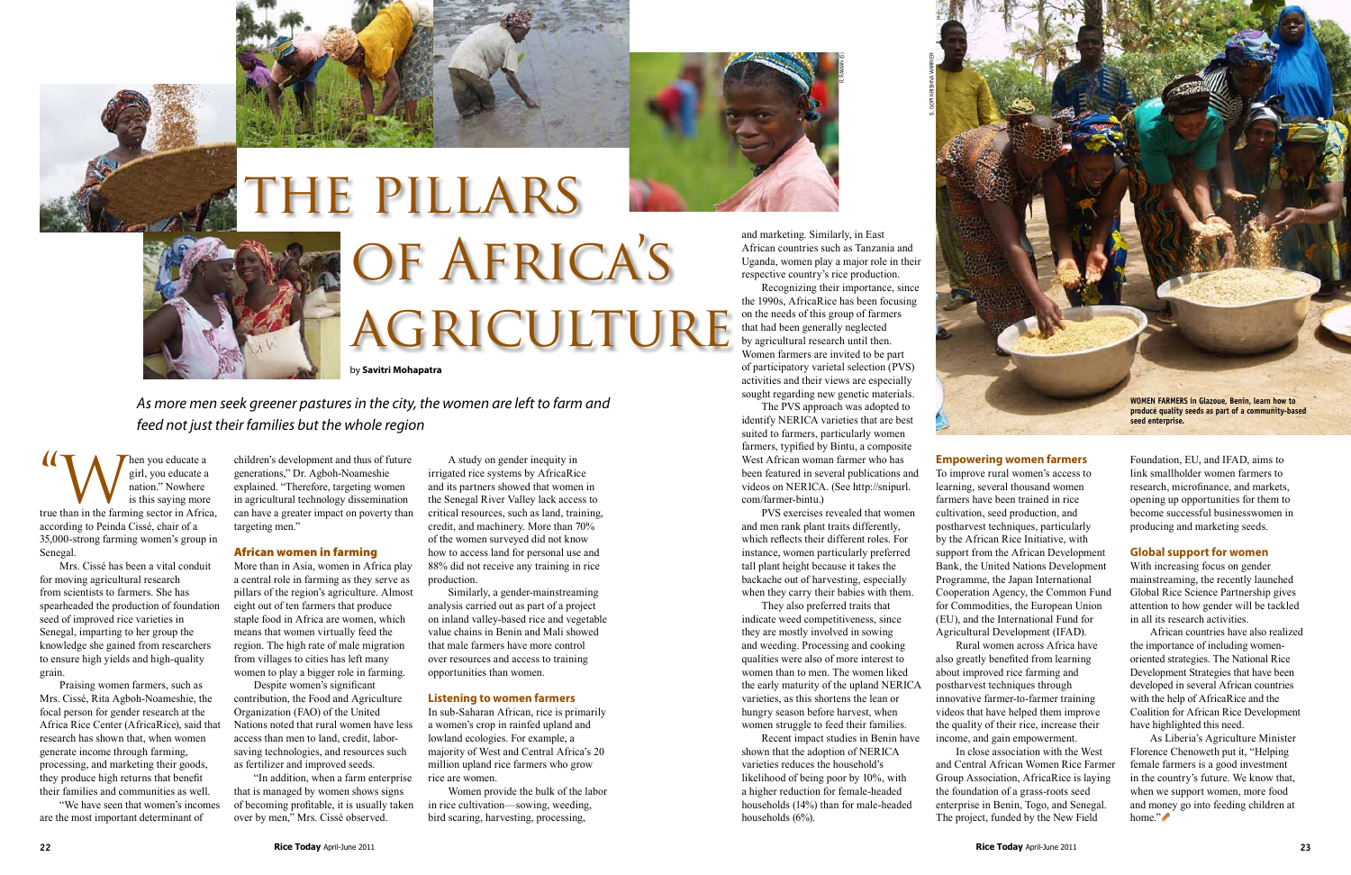**14 When you educate a**<br>
girl, you educate a<br>
is this saying more<br>
true than in the farming sector in Africa, girl, you educate a nation." Nowhere is this saying more according to Peinda Cissé, chair of a 35,000-strong farming women's group in Senegal.

Mrs. Cissé has been a vital conduit for moving agricultural research from scientists to farmers. She has spearheaded the production of foundation seed of improved rice varieties in Senegal, imparting to her group the knowledge she gained from researchers to ensure high yields and high-quality grain.

Praising women farmers, such as Mrs. Cissé, Rita Agboh-Noameshie, the focal person for gender research at the Africa Rice Center (AfricaRice), said that research has shown that, when women generate income through farming, processing, and marketing their goods, they produce high returns that benefit their families and communities as well.

"We have seen that women's incomes are the most important determinant of

children's development and thus of future generations," Dr. Agboh-Noameshie explained. "Therefore, targeting women in agricultural technology dissemination can have a greater impact on poverty than targeting men."

# African women in farming

More than in Asia, women in Africa play a central role in farming as they serve as pillars of the region's agriculture. Almost eight out of ten farmers that produce staple food in Africa are women, which means that women virtually feed the region. The high rate of male migration from villages to cities has left many women to play a bigger role in farming.

Despite women's significant contribution, the Food and Agriculture Organization (FAO) of the United Nations noted that rural women have less access than men to land, credit, laborsaving technologies, and resources such as fertilizer and improved seeds.

"In addition, when a farm enterprise that is managed by women shows signs of becoming profitable, it is usually taken over by men," Mrs. Cissé observed.

A study on gender inequity in irrigated rice systems by AfricaRice and its partners showed that women in the Senegal River Valley lack access to critical resources, such as land, training, credit, and machinery. More than 70% of the women surveyed did not know how to access land for personal use and 88% did not receive any training in rice production.

> Recent impact studies in Benin have shown that the adoption of NERICA varieties reduces the household's likelihood of being poor by 10%, with a higher reduction for female-headed households (14%) than for male-headed households (6%).

Similarly, a gender-mainstreaming analysis carried out as part of a project on inland valley-based rice and vegetable value chains in Benin and Mali showed that male farmers have more control over resources and access to training opportunities than women.

# **Listening to women farmers**

In sub-Saharan African, rice is primarily a women's crop in rainfed upland and lowland ecologies. For example, a majority of West and Central Africa's 20 million upland rice farmers who grow rice are women.

Women provide the bulk of the labor in rice cultivation—sowing, weeding, bird scaring, harvesting, processing,



*As more men seek greener pastures in the city, the women are left to farm and feed not just their families but the whole region*





# the pillars of Africa's agriculture

by **Savitri Mohapatra**

and marketing. Similarly, in East African countries such as Tanzania and Uganda, women play a major role in their respective country's rice production.

Recognizing their importance, since the 1990s, AfricaRice has been focusing on the needs of this group of farmers that had been generally neglected by agricultural research until then. Women farmers are invited to be part of participatory varietal selection (PVS) activities and their views are especially sought regarding new genetic materials.

The PVS approach was adopted to identify NERICA varieties that are best suited to farmers, particularly women farmers, typified by Bintu, a composite West African woman farmer who has been featured in several publications and videos on NERICA. (See http://snipurl. com/farmer-bintu.)

PVS exercises revealed that women and men rank plant traits differently, which reflects their different roles. For instance, women particularly preferred tall plant height because it takes the backache out of harvesting, especially when they carry their babies with them.

They also preferred traits that indicate weed competitiveness, since they are mostly involved in sowing and weeding. Processing and cooking qualities were also of more interest to women than to men. The women liked the early maturity of the upland NERICA varieties, as this shortens the lean or hungry season before harvest, when women struggle to feed their families.

## **Empowering women farmers**

To improve rural women's access to learning, several thousand women farmers have been trained in rice cultivation, seed production, and postharvest techniques, particularly by the African Rice Initiative, with support from the African Development Bank, the United Nations Development Programme, the Japan International Cooperation Agency, the Common Fund for Commodities, the European Union (EU), and the International Fund for Agricultural Development (IFAD). also greatly benefited from learning about improved rice farming and postharvest techniques through innovative farmer-to-farmer training videos that have helped them improve the quality of their rice, increase their income, and gain empowerment. and Central African Women Rice Farmer Group Association, AfricaRice is laying the foundation of a grass-roots seed enterprise in Benin, Togo, and Senegal. The project, funded by the New Field

Rural women across Africa have In close association with the West Foundation, EU, and IFAD, aims to link smallholder women farmers to research, microfinance, and markets, opening up opportunities for them to become successful businesswomen in producing and marketing seeds.

# **Global support for women**

With increasing focus on gender mainstreaming, the recently launched Global Rice Science Partnership gives attention to how gender will be tackled in all its research activities.

African countries have also realized the importance of including womenoriented strategies. The National Rice Development Strategies that have been developed in several African countries with the help of AfricaRice and the Coalition for African Rice Development have highlighted this need.

As Liberia's Agriculture Minister Florence Chenoweth put it, "Helping female farmers is a good investment in the country's future. We know that, when we support women, more food and money go into feeding children at home."



r. raman (5)

S. gopi krishna warrier